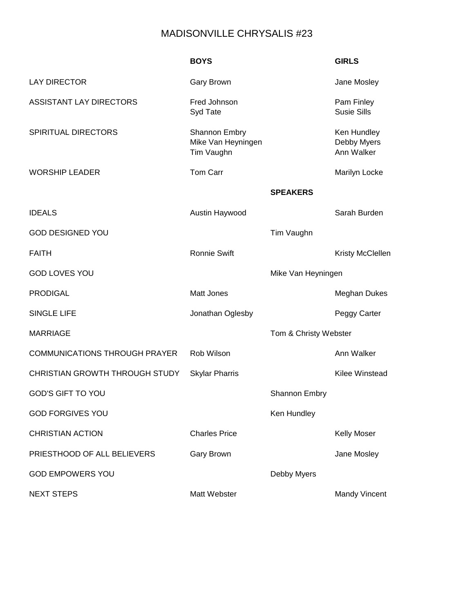## MADISONVILLE CHRYSALIS #23

|                                      | <b>BOYS</b>                                              |                       | <b>GIRLS</b>                             |
|--------------------------------------|----------------------------------------------------------|-----------------------|------------------------------------------|
| <b>LAY DIRECTOR</b>                  | <b>Gary Brown</b>                                        |                       | Jane Mosley                              |
| <b>ASSISTANT LAY DIRECTORS</b>       | Fred Johnson<br>Syd Tate                                 |                       | Pam Finley<br><b>Susie Sills</b>         |
| <b>SPIRITUAL DIRECTORS</b>           | <b>Shannon Embry</b><br>Mike Van Heyningen<br>Tim Vaughn |                       | Ken Hundley<br>Debby Myers<br>Ann Walker |
| <b>WORSHIP LEADER</b>                | <b>Tom Carr</b>                                          |                       | Marilyn Locke                            |
|                                      |                                                          | <b>SPEAKERS</b>       |                                          |
| <b>IDEALS</b>                        | Austin Haywood                                           |                       | Sarah Burden                             |
| <b>GOD DESIGNED YOU</b>              |                                                          | Tim Vaughn            |                                          |
| <b>FAITH</b>                         | <b>Ronnie Swift</b>                                      |                       | Kristy McClellen                         |
| <b>GOD LOVES YOU</b>                 |                                                          | Mike Van Heyningen    |                                          |
| <b>PRODIGAL</b>                      | <b>Matt Jones</b>                                        |                       | <b>Meghan Dukes</b>                      |
| <b>SINGLE LIFE</b>                   | Jonathan Oglesby                                         |                       | Peggy Carter                             |
| <b>MARRIAGE</b>                      |                                                          | Tom & Christy Webster |                                          |
| <b>COMMUNICATIONS THROUGH PRAYER</b> | Rob Wilson                                               |                       | Ann Walker                               |
| CHRISTIAN GROWTH THROUGH STUDY       | <b>Skylar Pharris</b>                                    |                       | <b>Kilee Winstead</b>                    |
| <b>GOD'S GIFT TO YOU</b>             |                                                          | <b>Shannon Embry</b>  |                                          |
| <b>GOD FORGIVES YOU</b>              |                                                          | Ken Hundley           |                                          |
| <b>CHRISTIAN ACTION</b>              | <b>Charles Price</b>                                     |                       | <b>Kelly Moser</b>                       |
| PRIESTHOOD OF ALL BELIEVERS          | <b>Gary Brown</b>                                        |                       | Jane Mosley                              |
| <b>GOD EMPOWERS YOU</b>              |                                                          | Debby Myers           |                                          |
| <b>NEXT STEPS</b>                    | Matt Webster                                             |                       | <b>Mandy Vincent</b>                     |